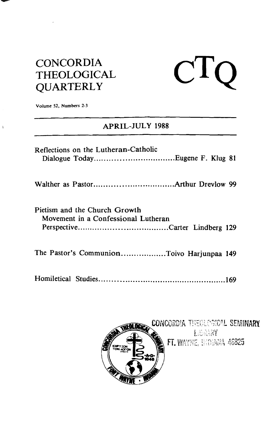## **CONCORDIA THEOLOGICAL QUARTERLY**

# $\mathbf{C} \mathbf{TO}$

**Volume 52. Numbers 2-3** 

 $\mathfrak{f}$ 

### **APRIL-JULY 1988**

| Reflections on the Lutheran-Catholic                                 |
|----------------------------------------------------------------------|
|                                                                      |
| Pietism and the Church Growth<br>Movement in a Confessional Lutheran |
| The Pastor's CommunionToivo Harjunpaa 149                            |
|                                                                      |

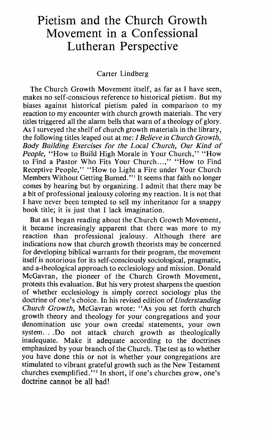## Pietism and the Church Growth Movement in a Confessional Lutheran Perspective

#### Carter Lindberg

The Church Growth Movement itself, as far as I have seen, makes no self-conscious reference to historical pietism. But my biases against historical pietism paled in comparison to my reaction to my encounter with church growth materials. The very titles triggered all the alarm bells that warn of a theology of glory. As I surveyed the shelf of church growth materials in the library, the following titles leaped out at me: I *Believe in Church Growth, Body Building Exercises for the Local Church, Our Kind of People,* "How to Build High Morale in Your Church," "How to Find a Pastor Who Fits Your Church...," "How to Find Receptive People," "How to Light a Fire under Your Church Members Without Getting Burned."' It seems that faith no longer comes by hearing but by organizing. I admit that there may be a bit of professional jealousy coloring my reaction. It is not that I have never been tempted to sell my inheritance for a snappy book title; it is just that I lack imagination.

But as I began reading about the Church Growth Movement, it became increasingly apparent that there was more to my reaction than professional jealousy. Although there are indications now that church growth theorists may be concerned for developing biblical warrants for their program, the movement itself is notorious for its self-consciously sociological, pragmatic, and a-theological approach to ecclesiology and mission. Donald McGavran, the pioneer of the Church Growth Movement, protests this evaluation. But his very protest sharpens the question of whether ecclesiology is simply correct sociology plus the doctrine of one's choice. In his revised edition of *Understanding Church Growth,* McGavran wrote: "As you set forth church growth theory and theology for your congregations and your denomination use your own creedal statements, your own system. . .Do not attack church growth as theologically inadequate. Make it adequate according to the doctrines emphasized by your branch of the Church. The test as to whether you have done this or not is whether your congregations are stimulated to vibrant grateful growth such as the New Testament churches exemplified."<sup>2</sup> In short, if one's churches grow, one's doctrine cannot be all bad!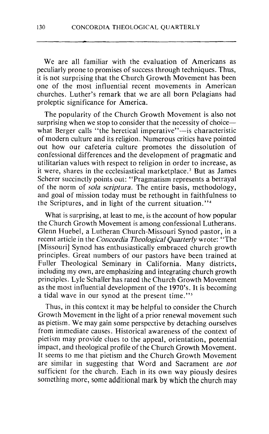We are all familiar with the evaluation of Americans as peculiarly prone to promises of success through techniques. Thus, it is not surprising that the Church Growth Movement has been one of the most influential recent movements in American churches. Luther's remark that we are all born Pelagians had proleptic significance for America.

The popularity of the Church Growth Movement is also not surprising when we stop to consider that the necessity of choice what Berger calls "the heretical imperative"-is characteristic of modern culture and its religion. Numerous critics have pointed out how our cafeteria culture promotes the dissolution of confessional differences and the development of pragmatic and utilitarian values with respect to religion in order to increase, as it were, shares in the ecclesiastical marketplace.<sup>3</sup> But as James Scherer succinctly points out: "Pragmatism represents a betrayal of the norm of *sola scriptura.* The entire basis, methodology, and goal of mission today must be rethought in faithfulness to the Scriptures, and in light of the current situation."<sup>4</sup>

What is surprising, at least to me, is the account of how popular the Church Growth Movement is among confessional Lutherans. Glenn Huebel, a Lutheran Church-Missouri Synod pastor, in a recent article in the *Concordia Theological Quarterly* wrote: "The [Missouri] Synod has enthusiastically embraced church growth principles. Great numbers of our pastors have been trained at Fuller Theological Seminary in California. Many districts, including my own, are emphasizing and integrating church growth principles. Lyle Schaller has rated the Church Growth Movement as the most influential development of the 1970's. It is becoming a tidal wave in our synod at the present time."'

Thus, in this context it may be helpful to consider the Church Growth Movement in the light of a prior renewal movement such as pietism. We may gain some perspective by detaching ourselves from immediate causes. Historical awareness of the context of pietism may provide clues to the appeal, orientation, potential impact, and theological profile of the Church Growth Movement. It seems to me that pietism and the Church Growth Movement are similar in suggesting that Word and Sacrament are *not* sufficient for the church. Each in its own way piously desires something more, some additional mark by which the church may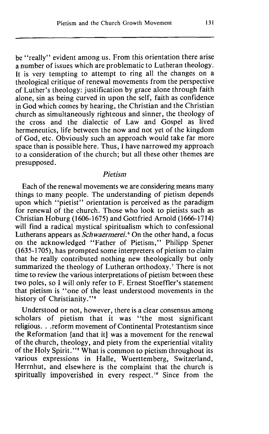be "really" evident among us. From this orientation there arise a number of issues which are problematic to Lutheran theology. It is very tempting to attempt to ring all the changes on a theological critique of renewal movements from the perspective of Luther's theology: justification by grace alone through faith alone, sin as being curved in upon the self, faith as confidence in God which comes by hearing, the Christian and the Christian church as simultaneously righteous and sinner, the theology of the cross and the dialectic of Law and Gospel as lived hermeneutics, life between the now and not yet of the kingdom of God, etc. Obviously such an approach would take far more space than is possible here. Thus, I have narrowed my approach to a consideration of the church; but all these other themes are presupposed.

#### *Pietism*

Each of the renewal movements we are considering means many things to many people. The understanding of pietism depends upon which "pietist" orientation is perceived as the paradigm for renewal of the church. Those who look to pietists such as Christian Hoburg (1606-1675) and Gottfried Arnold (1666-1714) will find a radical mystical spiritualism which to confessional Lutherans appears as *Schwaermerei*.<sup>6</sup> On the other hand, a focus on the acknowledged "Father of Pietism," Philipp Spener (1635-1705), has prompted some interpreters of pietism to claim that he really contributed nothing new theologically but only summarized the theology of Lutheran orthodoxy.' There is not time to review the various interpretations of pietism between these two poles, so I will only refer to F. Ernest Stoeffler's statement that pietism is "one of the least understood movements in the history of Christianity."<sup>8</sup>

Understood or not, however, there is a clear consensus among scholars of pietism that it was "the most significant religious. . .reform movement of Continental Protestantism since the Reformation [and that it] was a movement for the renewal of the church, theology, and piety from the experiential vitality of the Holy Spirit."<sup>9</sup> What is common to pietism throughout its various expressions in Halle, Wuerttemberg, Switzerland, Herrnhut, and elsewhere is the complaint that the church is spiritually impoverished in every respect.<sup>10</sup> Since from the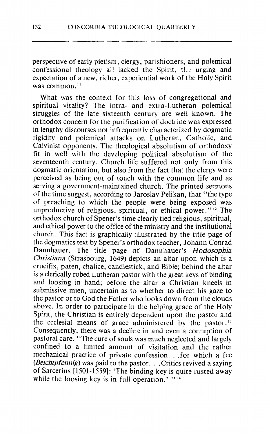perspective of early pietism, clergy, parishioners, and polemical confessional theology all lacked the Spirit, the urging and expectation of a new, richer, experiential work of the Holy Spirit was common. $<sup>11</sup>$ </sup>

What was the context for this loss of congregational and spiritual vitality? The intra- and extra-Lutheran polemical struggles of the late sixteenth century are well known. The orthodox concern for the purification of doctrine was expressed in lengthy discourses not infrequently characterized by dogmatic rigidity and polemical attacks on Lutheran, Catholic, and Calvinist opponents. The theological absolutism of orthodoxy fit in well with the developing political absolutism of the seventeenth century. Church life suffered not only from this dogmatic orientation, but also from the fact that the clergy were perceived as being out of touch with the common life and as serving a government-maintained church. The printed sermons of the time suggest, according to Jaroslav Pelikan, that "the type of preaching to which the people were being exposed was unproductive of religious, spiritual, or ethical power." $12$  The orthodox church of Spener's time clearly tied religious, spiritual, and ethical power to the office of the ministry and the institutional church. This fact is graphically illustrated by the title page of the dogmatics text by Spener's orthodox teacher, Johann Conrad Dannhauer. The title page of Dannhauer's *Hodosophia Christians* (Strasbourg, *1649)* depicts an altar upon which is a crucifix, paten, chalice, candlestick, and Bible; behind the altar is a clerically robed Lutheran pastor with the great keys of binding and loosing in hand; before the altar a Christian kneels in submissive mien, uncertain as to whether to direct his gaze to the pastor or to God the Father who looks down from the clouds above. In order to participate in the helping grace of the Holy Spirit, the Christian is entirely dependent upon the pastor and the ecclesial means of grace administered by the pastor.<sup>13</sup> Consequently, there was a decline in and even a corruption of pastoral care. "The cure of souls was much neglected and largely confined to a limited amount of visitation and the rather mechanical practice of private confession. . .for which a fee *(Beichtpfennig)* was paid to the pastor. . .Critics revived a saying of Sarcerius *[1501-15591:* 'The binding key is quite rusted away while the loosing key is in full operation.'  $"$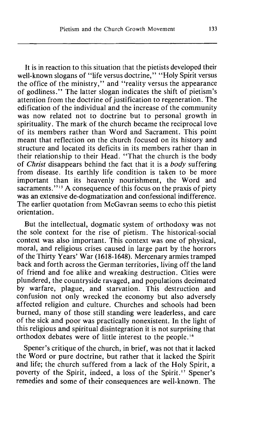It is in reaction to this situation that the pietists developed their well-known slogans of "life versus doctrine," "Holy Spirit versus the office of the ministry," and "reality versus the appearance of godliness." The latter slogan indicates the shift of pietism's attention from the doctrine of justification to regeneration. The edification of the individual and the increase of the community was now related not to doctrine but to personal growth in spirituality. The mark of the church became the reciprocal love of its members rather than Word and Sacrament. This point meant that reflection on the church focused on its history and structure and located its deficits in its members rather than in their relationship to their Head. "That the church is the body of **Christ** disappears behind the fact that it is a body suffering from disease. Its earthly life condition is taken to be more important than its heavenly nourishment, the Word and sacraments."<sup>15</sup> A consequence of this focus on the praxis of piety was an extensive de-dogmatization and confessional indifference. The earlier quotation from McGavran seems to echo this pietist orientation.

But the intellectual, dogmatic system of orthodoxy was not the sole context for the rise of pietism. The historical-social context was also important. This context was one of physical, moral, and religious crises caused in large part by the horrors of the Thirty Years' War (1618-1648). Mercenary armies tramped back and forth across the German territories, living off the land of friend and foe alike and wreaking destruction. Cities were plundered, the countryside ravaged, and populations decimated by warfare, plague, and starvation. This destruction and confusion not only wrecked the economy but also adversely affected religion and culture. Churches and schools had been burned, many of those still standing were leaderless, and care of the sick and poor was practically nonexistent. In the light of this religious and spiritual disintegration it is not surprising that orthodox debates were of little interest to the people.<sup>16</sup>

Spener's critique of the church, in brief, was not that it lacked the Word or pure doctrine, but rather that it lacked the Spirit and life; the church suffered from a lack of the Holy Spirit, a poverty of the Spirit, indeed, a loss of the Spirit." Spener's remedies and some of their consequences are well-known. The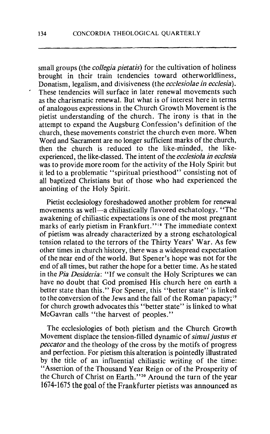small groups (the *collegia pietatis)* for the cultivation of holiness brought in their train tendencies toward otherworldliness, Donatism, legalism, and divisiveness (the *ecclesiolae in ecclesia).*  These tendencies will surface in later renewal movements such as the charismatic renewal. But what is of interest here in terms of analogous expressions in the Church Growth Movement is the pietist understanding of the church. The irony is that in the attempt to expand the Augsburg Confession's definition of the church, these movements constrict the church even more. When Word and Sacrament are no longer sufficient marks of the church, then the church is reduced to the like-minded, the likeexperienced, the like-classed. The intent of the *ecclesiola in ecclesia*  was to provide more room for the activity of the Holy Spirit but it led to a problematic "spiritual priesthood" consisting not of all baptized Christians but of those who had experienced the anointing of the Holy Spirit.

Pietist ecclesiology foreshadowed another problem for renewal movements as well—a chiliastically flavored eschatology. "The awakening of chiliastic expectations is one of the most pregnant marks of early pietism in Frankfurt."<sup>18</sup> The immediate context of pietism was already characterized by a strong eschatological tension related to the terrors of the Thirty Years' War. As few other times in church history, there was a widespread expectation of the near end of the world. But Spener's hope was not for the end of all times, but rather the hope for a better time. As he stated in the *Pia Desideria:* "If we consult the Holy Scriptures we can have no doubt that God promised His church here on earth a better state than this." For Spener, this "better state" is linked to the conversion of the Jews and the fall of the Roman papacy;<sup>19</sup> for church growth advocates this "better state" is linked to what McGavran calls "the harvest of peoples."

The ecclesiologies of both pietism and the Church Growth Movement displace the tension-filled dynamic of *simul justus et peccator* and the theology of the cross by the motifs of progress and perfection. For pietism this alteration is pointedly illustrated by the title of an influential chiliastic writing of the time: "Assertion of the Thousand Year Reign or of the Prosperity of the Church of Christ on Earth."2o Around the turn of the year 1674-1675 the goal of the Frankfurter pietists was announced as

 $\epsilon$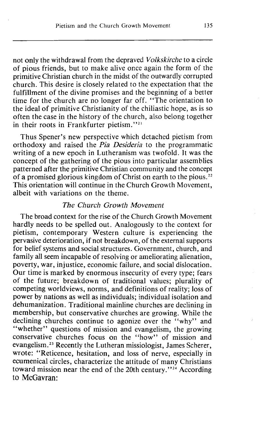not only the withdrawal from the depraved *Volkskirche* to a circle of pious friends, but to make alive once again the form of the primitive Christian church in the midst of the outwardly corrupted church. This desire is closely related to the expectation that the fulfillment of the divine promises and the beginning of a better time for the church are no longer far off. "The orientation to the ideal of primitive Christianity of the chiliastic hope, as is so often the case in the history of the church, also belong together in their roots in Frankfurter pietism."<sup>21</sup>

Thus Spener's new perspective which detached pietism from orthodoxy and raised the *Pia Desideria* to the programmatic writing of a new epoch in Lutheranism was twofold. It was the concept of the gathering of the pious into particular assemblies patterned after the primitive Christian community and the concept of a promised glorious kingdom of Christ on earth to the pious.<sup>22</sup> This orientation will continue in the Church Growth Movement, albeit with variations on the theme.

#### *The Church Growth Movement*

The broad context for the rise of the Church Growth Movement hardly needs to be spelled out. Analogously to the context for pietism, contemporary Western culture is experiencing the pervasive deterioration, if not breakdown, of the external supports for belief systems and social structures. Government, church, and family all seem incapable of resolving or ameliorating alienation, poverty, war, injustice, economic failure, and social dislocation. Our time is marked by enormous insecurity of every type; fears of the future; breakdown of traditional values; plurality of competing worldviews, norms, and definitions of reality; loss of power by nations as well as individuals; individual isolation and dehumanization. Traditional mainline churches are declining in membership, but conservative churches are growing. While the declining churches continue to agonize over the "why" and "whether" questions of mission and evangelism, the growing conservative churches focus on the "how" of mission and evangelism.<sup>23</sup> Recently the Lutheran missiologist, James Scherer, wrote: "Reticence, hesitation, and loss of nerve, especially in ecumenical circles, characterize the attitude of many Christians toward mission near the end of the 20th century." $24$  According to McGavran: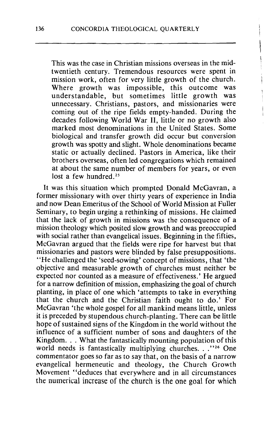This was the case in Christian missions overseas in the midtwentieth century. Tremendous resources were spent in mission work, often for very little growth of the church. Where growth was impossible, this outcome was understandable, but sometimes little growth was unnecessary. Christians, pastors, and missionaries were coming out of the ripe fields empty-handed. During the decades following World War 11, little or no growth also marked most denominations in the United States. Some biological and transfer growth did occur but conversion growth was spotty and slight. Whole denominations became static or actually declined. Pastors in America, like their brothers overseas, often led congregations which remained at about the same number of members for years, or even lost a few hundred.<sup>25</sup>

It was this situation which prompted Donald McGavran, a former missionary with over thirty years of experience in India and now Dean Emeritus of the School of World Mission at Fuller Seminary, to begin urging a rethinking of missions. He claimed that the lack of growth in missions was the consequence of a mission theology which posited slow growth and was preoccupied with social rather than evangelical issues. Beginning in the fifties, McGavran argued that the fields were ripe for harvest but that missionaries and pastors were blinded by false presuppositions. "He challenged the 'seed-sowing' concept of missions, that 'the objective and measurable growth of churches must neither be expected nor counted as a measure of effectiveness.' He argued for a narrow definition of mission, emphasizing the goal of church planting, in place of one which 'attempts to take in everything that the church and the Christian faith ought to do.' For McGavran 'the whole gospel for all mankind means little, unless it is preceded by stupendous church-planting. There can be little hope of sustained signs of the Kingdom in the world without the influence of a sufficient number of sons and daughters of the Kingdom. . . What the fantastically mounting population of this world needs is fantastically multiplying churches. . ."<sup>26</sup> One commentator goes so far as to say that, on the basis of a narrow evangelical hermeneutic and theology, the Church Growth Movement "deduces that everywhere and in all circumstances the numerical increase of the church is the one goal for which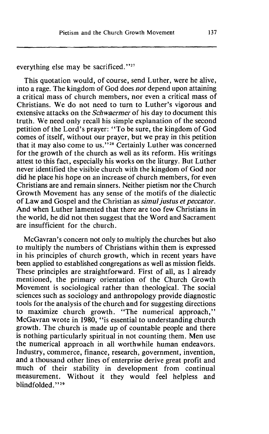everything else may be sacrificed. **"27** 

This quotation would, of course, send Luther, were he alive, into a rage. The kingdom of God does *not* depend upon attaining a critical mass of church members, nor even a critical mass of Christians. We do not need to turn to Luther's vigorous and extensive attacks on the *Schwaermer* of his day to document this truth. We need only recall his simple explanation of the second petition of the Lord's prayer: "To be sure, the kingdom of God comes of itself, without our prayer, but we pray in this petition that it may also come to us."<sup>28</sup> Certainly Luther was concerned for the growth of the church as well as its reform. His writings attest to this fact, especially his works on the liturgy. But Luther never identified the visible church with the kingdom of God nor did he place his hope on an increase of church members, for even Christians are and remain sinners. Neither pietism nor the Church Growth Movement has any sense of the motifs of the dialectic of Law and Gospel and the Christian as *simul justus et peccator*. And when Luther lamented that there are too few Christians in the world, he did not then suggest that the Word and Sacrament are insufficient for the church.

McGavran's concern not only to multiply the churches but also to multiply the numbers of Christians within them is expressed in his principles of church growth, which in recent years have been applied to established congregations as well as mission fields. These principles are straightforward. First of all, as I already mentioned, the primary orientation of the Church Growth Movement is sociological rather than theological. The social sciences such as sociology and anthropology provide diagnostic tools for the analysis of the church and for suggesting directions to maximize church growth. "The numerical approach," McGavran wrote in 1980, "is essential to understanding church growth. The church is made up of countable people and there is nothing particularly spiritual in not counting them. Men use the numerical approach in all worthwhile human endeavors. Industry, commerce, finance, research, government, invention, and a thousand other lines of enterprise derive great profit and much of their stability in development from continual measurement. Without it they would feel helpless and blindfolded. **"29**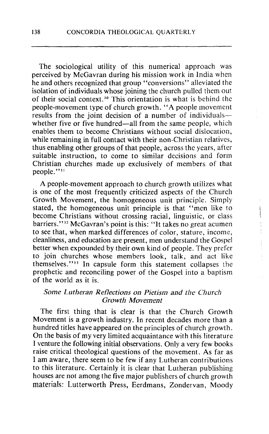The sociological utility of this numerical approach was perceived by McGavran during his mission work in India when he and others recognized that group "conversions" alleviated the isolation of individuals whose joining the church pulled them out of their social context.30 This orientation is what is behind the people-movement type of church growth. "A people movement results from the joint decision of a number of individualswhether five or five hundred—all from the same people, which enables them to become Christians without social dislocation, while remaining in full contact with their non-Christian relatives, thus enabling other groups of that people, across the years, after suitable instruction, to come to similar decisions and form Christian churches made up exclusively of members of that people."<sup>31</sup>

A people-movement approach to church growth utilizes what is one of the most frequently criticized aspects of the Church Growth Movement, the homogeneous unit principle. Simply stated, the homogeneous unit principle is that "men like to become Christians without crossing racial, linguistic, or class barriers."<sup>32</sup> McGavran's point is this: "It takes no great acumen to see that, when marked differences of color, stature, income, cleanliness, and education are present, men understand the Gospel better when expounded by their own kind of people. They prefer to join churches whose members look, talk, and act like themselves."<sup>33</sup> In capsule form this statement collapses the prophetic and reconciling power of the Gospel into a baptism of the world as it is.

#### *Some Lutheran Reflections on Pietism and the Church Growth Movement*

The first thing that is clear is that the Church Growth Movement is a growth industry. In recent decades more than a hundred titles have appeared on the principles of church growth. On the basis of my very limited acquaintance with this literature I venture the following initial observations. Only a very few books raise critical theological questions of the movement. As far as I am aware, there seem to be few if any Lutheran contributions to this literature. Certainly it is clear that Lutheran publishing houses are not among the five major publishers of church growth materials: Lutterworth Press, Eerdmans, Zondervan, Moody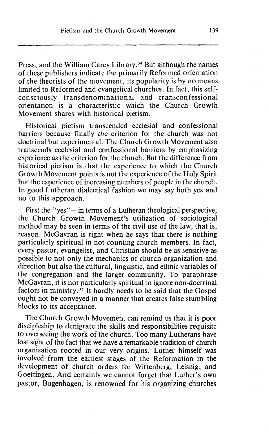Press, and the William Carey Library.<sup>34</sup> But although the names of these publishers indicate the primarily Reformed orientation of the theorists of the movement, its popularity is by no means limited to Reformed and evangelical churches. In fact, this selfconsciously transdenominational and transconfessional orientation is a characteristic which the Church Growth Movement shares with historical pietism.

Historical pietism transcended ecclesial and confessional barriers because finally *the* criterion for the church was not doctrinal but experimental. The Church Growth Movement also transcends ecclesial and confessional barriers by emphasizing experience as the criterion for the church. But the difference from historical pietism is that the experience to which the Church Growth Movement points is not the experience of the Holy Spirit but the experience of increasing numbers of people in the church. In good Lutheran dialectical fashion we may say both yes and no to this approach.

First the "yes"—in terms of a Lutheran theological perspective, the Church Growth Movement's utilization of sociological method may be seen in terms of the civil use of the law, that is, reason. McGavran is right when he says that there is nothing particularly spiritual in not counting church members. In fact, every pastor, evangelist, and Christian should be as sensitive as possible to not only the mechanics of church organization and direction but also the cultural, linguistic, and ethnic variables of the congregation and the larger community. To paraphrase McGavran, it is not particularly spiritual to ignore non-doctrinal factors in ministry.<sup>35</sup> It hardly needs to be said that the Gospel ought not be conveyed in a manner that creates false stumbling blocks to its acceptance.

The Church Growth Movement can remind us that it is poor discipleship to denigrate the skills and responsibilities requisite to overseeing the work of the church. Too many Lutherans have lost sight of the fact that we have a remarkable tradition of church organization rooted in our very origins. Luther himself was involved from the earliest stages of the Reformation in the development of church orders for Wittenberg, Leisnig, and Goettingen. And certainly we cannot forget that Luther's own pastor, Bugenhagen, is renowned for his organizing churches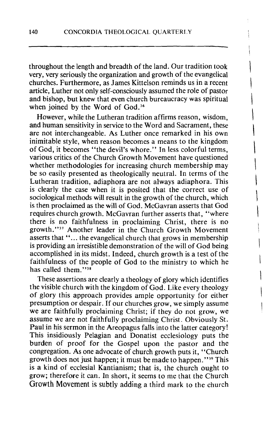throughout the length and breadth of the land. Our tradition took very, very seriously the organization and growth of the evangelical churches. Furthermore, as James Kittelson reminds us in a recent article, Luther not only self-consciously assumed the role of pastor and bishop, but knew that even church bureaucracy was spiritual when joined by the Word of God.<sup>36</sup>

However, while the Lutheran tradition affirms reason, wisdom, and human sensitivity in service to the Word and Sacrament, these are not interchangeable. As Luther once remarked in his own inimitable style, when reason becomes a means to the kingdom of God, it becomes "the devil's whore." In less colorful terms, various critics of the Church Growth Movement have questioned whether methodologies for increasing church membership may be so easily presented as theologically neutral. In terms of the Lutheran tradition, adiaphora are not always adiaphora. This is clearly the case when it is posited that the correct use of sociological methods will result in the growth of the church, which is then proclaimed as the will of God. McGavran asserts that God requires church growth. McGavran further asserts that, "where there is no faithfulness in proclaiming Christ, there is no growth."<sup>37</sup> Another leader in the Church Growth Movement asserts that "... the evangelical church that grows in membership is providing an irresistible demonstration of the will of God being accomplished in its midst. Indeed, church growth is a test of the faithfulness of the people of God to the ministry to which he has called them."<sup>38</sup>

These assertions are clearly a theology of glory which identifies the visible church with the kingdom of God. Like every theology of glory this approach provides ample opportunity for either presumption or despair. If our churches grow, we simply assume we are faithfully proclaiming Christ; if they do not grow, we assume we are not faithfully proclaiming Christ. Obviously St. Paul in his sermon in the Areopagus falls into the latter category! This insidiously Pelagian and Donatist ecclesiology puts the burden of proof for the Gospel upon the pastor and the congregation. As one advocate of church growth puts it, "Church growth does not just happen; it must be made to happen. **"39** This is **a** kind of ecclesial Kantianism; that is, the church ought to grow; therefore it can. In short, it seems to me that the Church Growth Movement is subtly adding a third mark to the church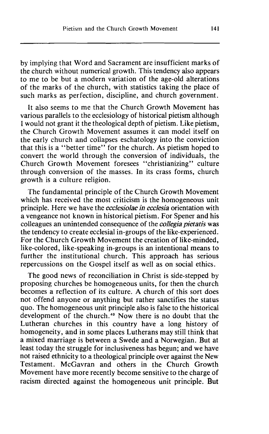by implying that Word and Sacrament are insufficient marks of the church without numerical growth. This tendency also appears to me to be but a modern variation of the age-old alterations of the marks of the church, with statistics taking the place of such marks as perfection, discipline, and church government.

It also seems to me that the Church Growth Movement has various parallels to the ecclesiology of historical pietism although I would not grant it the theological depth of pietism. Like pietism, the Church Growth Movement assumes it can model itself on the early church and collapses eschatology into the conviction that this is a "better time" for the church. As pietism hoped to convert the world through the conversion of individuals, the Church Growth Movement foresees "christianizing" culture through conversion of the masses. In its crass forms, church growth is a culture religion.

The fundamental principle of the Church Growth Movement which has received the most criticism is the homogeneous unit principle. Here we have the *ecclesiolae* in *ecclesia* orientation with a vengeance not known in historical pietism. For Spener and his colleagues an unintended consequence of the *collegia pietatis* was the tendency to create ecclesial in-groups of the like-experienced. For the Church Growth Movement the creation of like-minded, like-colored, like-speaking in-groups is an intentional means to further the institutional church. This approach has serious repercussions on the Gospel itself as well as on social ethics.

The good news of reconciliation in Christ is side-stepped by proposing churches be homogeneous units, for then the church becomes a reflection of its culture. A church of this sort does not offend anyone or anything but rather sanctifies the status quo. The homogeneous unit principle also is false to the historical development of the church.4o Now there is no doubt that the Lutheran churches in this country have a long history of homogeneity, and in some places Lutherans may still think that a mixed marriage is between **a** Swede and a Norwegian. But at least today the struggle for inclusiveness has begun; and we have not raised ethnicity to a theological principle over against the New Testament. McGavran and others in the Church Growth Movement have more recently become sensitive to the charge of racism directed against the homogeneous unit principle. But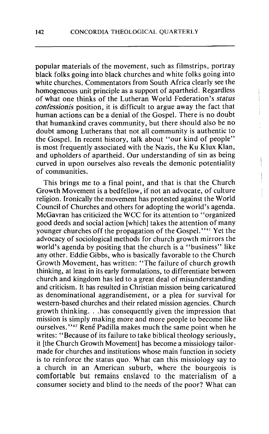popular materials of the movement, such as filmstrips, portray black folks going into black churches and white folks going into white churches. Commentators from South Africa clearly see the homogeneous unit principle as a support of apartheid. Regardless of what one thinks of the Lutheran World Federation's status *confessionis* position, it is difficult to argue away the fact that human actions can be a denial of the Gospel. There is no doubt that humankind craves community, but there should also be no doubt among Lutherans that not all community is authentic to the Gospel. In recent history, talk about "our kind of people" is most frequently associated with the Nazis, the Ku Klux Klan, and upholders of apartheid. Our understanding of sin as being curved in upon ourselves also reveals the demonic potentiality of communities. <sup>i</sup>

ì.

This brings me to a final point, and that is that the Church Growth Movement is a bedfellow, if not an advocate, of culture religion. Ironically the movement has protested against the World Council of Churches and others for adopting the world's agenda. McGavran has criticized the WCC for its attention to "organized good deeds and social action [which] takes the attention of many younger churches off the propagation of the Gospel."<sup>41</sup> Yet the advocacy of sociological methods for church growth mirrors the world's agenda by positing that the church is a "business" like any other. Eddie Gibbs, who is basically favorable to the Church Growth Movement, has written: "The failure of church growth thinking, at least in its early formulations, to differentiate between church and kingdom has led to a great deal of misunderstanding and criticism. It has resulted in Christian mission being caricatured as denominational aggrandisement, or a plea for survival for western-based churches and their related mission agencies. Church growth thinking. . .has consequently given the impression that mission is simply making more and more people to become like ourselves."<sup>42</sup> René Padilla makes much the same point when he writes: "Because of its failure to take biblical theology seriously, it [the Church Growth Movement] has become a missiology tailormade for churches and institutions whose main function in society is to reinforce the status quo. What can this missiology say to a church in an American suburb, where the bourgeois is comfortable but remains enslaved to the materialism of a consumer society and blind to the needs of the poor? What can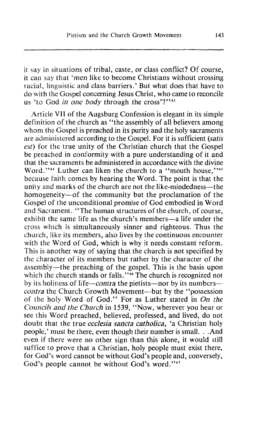it say in situations of tribal, caste, or class conflict? Of course, it can say that 'men like to become Christians without crossing racial, linguistic and class barriers.' But what does that have to do with the Gospel concerning Jesus Christ, who came to reconcile us 'to God *in one body* through the cross'?"<sup>43</sup>

Article VII of the Augsburg Confession is elegant in its simple definition of the church as "the assembly of all believers among whom the Gospel is preached in its purity and the holy sacraments are administered according to the Gospel. For it is sufficient *(satis cst)* for the true unity of the Christian church that the Gospel be preached in conformity with a pure understanding of it and that the sacraments be administered in accordance with the divine Word."<sup>44</sup> Luther can liken the church to a "mouth house,"<sup>45</sup> because faith comes by hearing the Word. The point is that the unity and marks of the church are not the like-mindedness-the homogeneity-of the community but the proclamation of the Gospel of the unconditional promise of God embodied in Word and Sacrament. "The human structures of the church, of course, exhibit the same life as the church's members—a life under the cross which is simultaneously sinner and righteous. Thus the church, like its members, also lives by the continuous encounter with the Word of God, which is why it needs constant reform. This is another way of saying that the church is not specified by the character of its members but rather by the character of the assembly-the preaching of the gospel. This is the basis upon which the church stands or falls."<sup>46</sup> The church is recognized not by its holiness of life-contra the pietists-nor by its numbers*contra* the Church Growth Movement—but by the "possession" of the holy Word of God." For as Luther stated in On *the*  **Councils** *and the Church* in *1539,* "Now, wherever you hear or see this Word preached, believed, professed, and lived, do not doubt that the true *ecclesia sancta catholica,* 'a Christian holy people,' must be there, even though their number is small. . .And even if there were no other sign than this alone, it would still suffice to prove that a Christian, holy people must exist there, for God's word cannot be without God's people and, conversely, God's people cannot be without God's word."<sup>47</sup>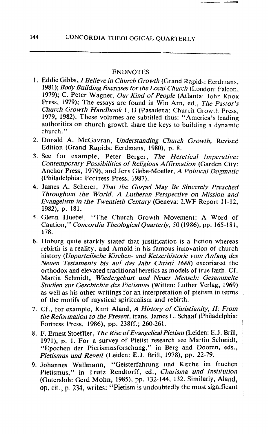#### ENDNOTES

- 1. Eddie Gibbs, *I Believe in Church Growth* (Grand Rapids: Eerdmans, 1981); *Body Building Exercises for the Local Church* (London: Falcon, 1979); C. Peter Wagner, *Our Kind of People* (Atlanta: John Knox Press, 1979); The essays are found in Win Arn, ed., *The Pastor's Church Growth Handbook* I, **11** (Pasadena: Church Growth Press, 1979, 1982). These volumes are subtitled thus: "America's leading authorities on church growth share the keys to building a dynamic church."
- 2. Donald A. McGavran, *Understanding Chirrch Growth,* Revised Edition (Grand Rapids: Eerdmans, 1980), p. 8.
- 3. See for example, Peter Berger, *The Heretical Imperative: Contemporary Possibilities of Religious Affirmation* (Garden City : Anchor Press, 1979), and Jens Glebe-Moeller, A *Political Dogmatic*  (Philadelphia: Fortress Press, 1987).
- 4. James A. Scherer, *That the Gospel May Be Sincerely Preached Throughout the World. A Lutheran Perspective on Mission and Evangelism in the Twentieth Century* (Geneva: LWF Report 11-12, 1982), p. 181.
- 5. Glenn Huebel, "The Church Growth Movement: A Word of Caution," *Concordia Theological Quarterly, 50 (1986), pp. 165-181,* 178.
- 6. Hoburg quite starkly stated that justification is a fiction whereas rebirth is a reality, and Arnold in his famous innovation of church history (*Unparteiische Kirchen- und Ketzerhistorie vom Anfang des Neuen Testaments bis auf das Jahr Christi* 1688) excoriated the orthodox and elevated traditional heretics as models of true faith. Cf. Martin Schmidt, *Wiedergeburt und Neuer Mensch: Gesammelte Studien zur Geschichte des Pietismus* (Witten: Luther Verlag, 1969) as well as his other writings for an interpretation of pietism in terms of the motifs of mystical spiritualism and rebirth.
- 7. Cf., for example, Kurt Aland, *A History of Christianity,* **11:** *From the Reformation to the Present,* trans. James *L.* Schaaf (Philadelphia: Fortress Press, 1986), pp. 238ff.; 260-261.
- 8. F. Ernest Stoeffler, *The Rise of EvangelicalPietism* (Leiden: *E.J.* Brill, 1971), p. 1. For a survey of Pietist research see Martin Schmidt, "Epochen der Pietismusforschung," in Berg and Dooren, eds., *Pietismus und Reveil* (Leiden: E.J. Brill, 1978), pp. 22-79.
- 9. Johannes Wallmann, "Geisterfahrung und Kirche im fruehen , Pietismus," in Trutz Rendtorff, ed., *Charisma und Institution*  (Gutersloh: Gerd Mohn, 1985), pp. 132-144, 132. Similarly, Aland, **Op.** cit., **p.** 234, writes: "Pietism is undoubtedly the most significant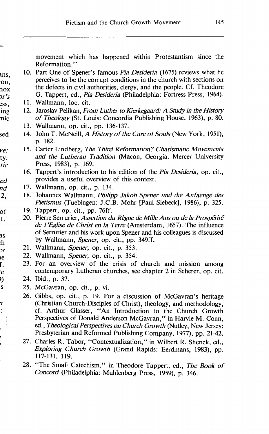movement which has happened within Protestantism since the Reformation."

- ins, :on, nox *>r 's*  10. Part One of Spener's famous *Pia Desideria* (1675) reviews what he perceives to be the corrupt conditions in the church with sections on the defects in civil authorities, clergy, and the people. Cf. Theodore G. Tappert, ed., *Pia Desideria* (Philadelphia: Fortress Press, 1964).
- ZSS, 11. Wallmann, loc. cit.
- ing nic 12. Jaroslav Pelikan, *From Luther to Kierkegaard: A Study in the History of Theology* (St. Louis: Concordia Publishing House, 1963), p. 80.
	- 13. Wallmann, op. cit., pp. 136-137.
- sed 14. John T. McNeill, *A History of the Cure of Souls* (New York, 1951), p. 182.
- *ve:*  ty: *tic*  15. Carter Lindberg, *The Third Reformation? Charismatic Movenlents and the Lutheran Tradition* (Macon, Georgia: Mercer University Press, 1983), p. 169.
	- 16. Tappert's introduction to his edition of the *Pia Desideria,* op. cit., provides a useful overview of this context.
- 17. Wallmann, op. cit., p. 134. nd

ed

ie.

Y) lS.

7  $\ddot{\cdot}$ 

,

 $\cdot$  :

- 18. Johannes Wallmann, *Philipp Jakob S'ner und die Anfaenge des*  2, *Pietismus* (Tuebingen: J.C.B. Mohr [Paul Siebeck], 1986), p. 325.
- 19. Tappert, op. cit., pp. 76ff. of
- 20. Pierre Serrurier, *Assertion du Règne de Mille Ans ou de la Prospérité* 1, *de* **1** *'Eglise de Christ en la Terre* (Amsterdam, 1657). The influence of Sermrier and his work upon Spener and his colleagues is discussed 3S by Wallmann, Spener, op. cit., pp. 349ff. :h
- 21. Wallmann, *Spener,* op. cit., p. 353. ?S
	- 22. Wallmann, *Spener,* op. cit., p. 354.
- 23. For an overview of the crisis of church and mission among f. contemporary Lutheran churches, see chapter 2 in Scherer, op. cit. 'e
	- 24. Ibid., p. 37.
		- 25. McGavran, op. cit., p. vi.
		- 26. Gibbs, op. cit., p. 19. For a discussion of McGavran's heritage (Christian Church-Disciples of Christ), theology, and methodology, cf. Arthur Glasser, "An Introduction to the Church Growth Perspectives of Donald Anderson McGavran," in Harvie M. Conn, ed., *Theological Perspectives on Church Growth* (Nutley, New Jersey: Presbyterian and Reformed Publishing Company, 1977), pp. 21-42.
			- 27. Charles R. Tabor, "Contextualization," in Wilbert R. Shenck, ed., *Exploring Church Growth* (Grand Rapids: Eerdmans, 1983), pp. 117-131, 119.
			- 28. "The Small Catechism," in Theodore Tappert, ed., *The Book of Concord* (Philadelphia: MuhIenberg Press, 1959), p. 346.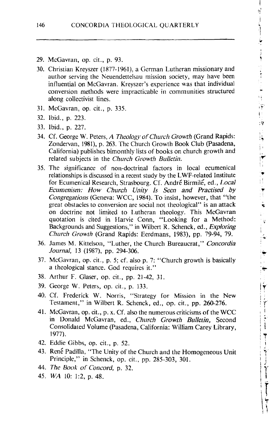$\frac{1}{1}$ 

化非正常化 法法律 化硬化合金

 $\frac{1}{1}$ F.  $\overline{\mathbf{v}}$ 

 $\ddot{\phantom{a}}$ Ħ

 $\frac{1}{3}$ 

 $\frac{1}{2}$ 

 $\frac{1}{2}$ 

i<br>T

 $\frac{1}{2}$ 

**Property of the Second Association** 

- 29. McGavran, op. cit., p. **93.**
- **30.** Christian Kreyszer (1877- **1961** 1, a German Lutneran missionary and author serving the Neuendettelsau mission society, may have been influential on McGavran. Kreyszer's experience was that individual conversion methods were impracticable in communities structured along collectivist lines.
- **31.** McGavran, op. cit., p. **335.**
- **32.** Ibid., p. **223.**
- **33.** Ibid., p. **227.**
- **34.** Cf. George **W.** Peters, *A Theology of Church Growth* (Grand Rapids: Zondewan, 1981), p. **263.** The Church Growth Book Club (Pasadena, California) publishes bimonthly lists of books on church growth and related subjects in the *Church Growth Bulletin.*
- **35.** The significance **of** non-doctrinal factors in local ecumenical relationships is discussed in a recent study by the LWF-related Institute for Ecumenical Research, Strasbourg. Cf. André Birmilé, ed., *Local Ecumcnism:* How *Church L'nity Is Seen and Practised by Congregations* (Geneva: WCC, *1984).* To insist, however, that "the great obstacles to conversion are social not theoIogica1" is an attack on doctrine not limited to Lutheran theology. This McCavran quotation is cited in Harvie Conn, "Looking for a Method: Backgrounds and Suggestions," in Wilbert R. Schenck, **ed.,** *Exploring Church Growth* (Grand Rapids: Eerdmans, **1983),** pp. 79-94, 79.
- **36. James M.** Kittelson, "Luther, the Church Bureaucrat," *Concordia Journal,* **13** (1987), pp. **294-306.**
- **37.** McGavran, op. cit., p. **5;** cf. also **p.** 7: "Church growth is basically a theological stance. God requires it."
- **38.** Arthur F. Glaser, op. cit., pp. **21-42, 31.**
- **39.** George W. Peters, op. cit., p. **133.**
- **40.** Cf. Frederick W. Norris, "Strategy for Mission in the New Testament," in Wilbert R. Schenck, ed., op. cit., pp. 260-276.
- 41. McGavran, op. cit., p. **x.** Cf. also the numerous criticisms of the WCC in Donald McGavran, ed., *Church Growth Bulletin,* Second Consolidated Volume (Pasadena, California: William Carey Library, 1977).
- **42.** Eddie Gibbs, op. cit., p. 52.
- 43. René Padilla, "The Unity of the Church and the Homogeneous Unit Principle," in Schenck, op. cit., pp. 285-303, **301.**
- *44. The Book of Concord,* **p. 32.**
- 45. **WA 10: 1:2, p. 48.**